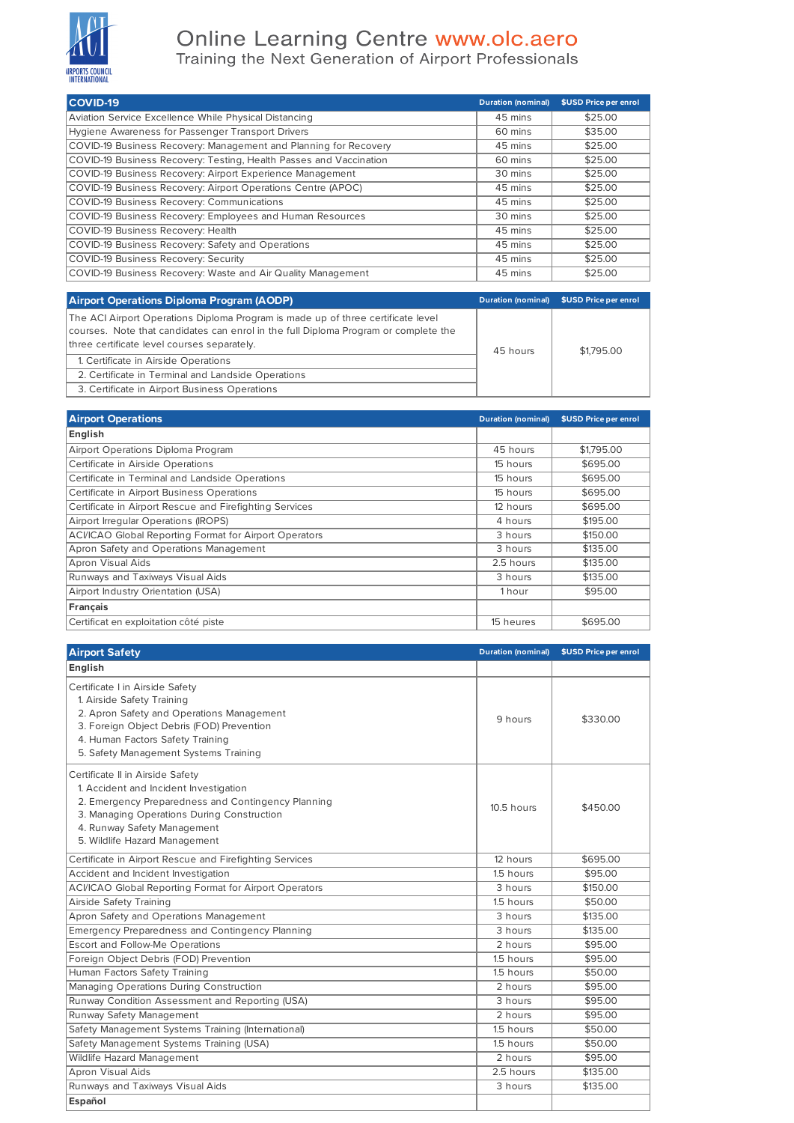

## Online Learning Centre www.olc.aero<br>Training the Next Generation of Airport Professionals

| <b>COVID-19</b>                                                    | <b>Duration (nominal)</b> | \$USD Price per enrol |
|--------------------------------------------------------------------|---------------------------|-----------------------|
| Aviation Service Excellence While Physical Distancing              | 45 mins                   | \$25.00               |
| Hygiene Awareness for Passenger Transport Drivers                  | 60 mins                   | \$35.00               |
| COVID-19 Business Recovery: Management and Planning for Recovery   | 45 mins                   | \$25.00               |
| COVID-19 Business Recovery: Testing, Health Passes and Vaccination | 60 mins                   | \$25.00               |
| COVID-19 Business Recovery: Airport Experience Management          | 30 mins                   | \$25.00               |
| COVID-19 Business Recovery: Airport Operations Centre (APOC)       | 45 mins                   | \$25.00               |
| COVID-19 Business Recovery: Communications                         | 45 mins                   | \$25.00               |
| COVID-19 Business Recovery: Employees and Human Resources          | 30 mins                   | \$25.00               |
| COVID-19 Business Recovery: Health                                 | 45 mins                   | \$25.00               |
| COVID-19 Business Recovery: Safety and Operations                  | 45 mins                   | \$25.00               |
| COVID-19 Business Recovery: Security                               | 45 mins                   | \$25.00               |
| COVID-19 Business Recovery: Waste and Air Quality Management       | 45 mins                   | \$25.00               |

| <b>Airport Operations Diploma Program (AODP)</b>                                                                                                                                                                       |          | Duration (nominal) \$USD Price per enrol |
|------------------------------------------------------------------------------------------------------------------------------------------------------------------------------------------------------------------------|----------|------------------------------------------|
| The ACI Airport Operations Diploma Program is made up of three certificate level<br>courses. Note that candidates can enrol in the full Diploma Program or complete the<br>three certificate level courses separately. | 45 hours | \$1,795.00                               |
| 1. Certificate in Airside Operations                                                                                                                                                                                   |          |                                          |
| 2. Certificate in Terminal and Landside Operations                                                                                                                                                                     |          |                                          |
| 3. Certificate in Airport Business Operations                                                                                                                                                                          |          |                                          |

| <b>Airport Operations</b>                                     | <b>Duration (nominal)</b> | \$USD Price per enrol |
|---------------------------------------------------------------|---------------------------|-----------------------|
| English                                                       |                           |                       |
| Airport Operations Diploma Program                            | 45 hours                  | \$1,795.00            |
| Certificate in Airside Operations                             | 15 hours                  | \$695.00              |
| Certificate in Terminal and Landside Operations               | 15 hours                  | \$695.00              |
| Certificate in Airport Business Operations                    | 15 hours                  | \$695.00              |
| Certificate in Airport Rescue and Firefighting Services       | 12 hours                  | \$695.00              |
| Airport Irregular Operations (IROPS)                          | 4 hours                   | \$195.00              |
| <b>ACI/ICAO Global Reporting Format for Airport Operators</b> | 3 hours                   | \$150.00              |
| Apron Safety and Operations Management                        | 3 hours                   | \$135.00              |
| Apron Visual Aids                                             | 2.5 hours                 | \$135.00              |
| Runways and Taxiways Visual Aids                              | 3 hours                   | \$135.00              |
| Airport Industry Orientation (USA)                            | 1 hour                    | \$95.00               |
| Français                                                      |                           |                       |
| Certificat en exploitation côté piste                         | 15 heures                 | \$695.00              |

| <b>Airport Safety</b>                                                                                                                                                                                                                          | <b>Duration (nominal)</b> | \$USD Price per enrol |
|------------------------------------------------------------------------------------------------------------------------------------------------------------------------------------------------------------------------------------------------|---------------------------|-----------------------|
| English                                                                                                                                                                                                                                        |                           |                       |
| Certificate I in Airside Safety<br>1. Airside Safety Training<br>2. Apron Safety and Operations Management<br>3. Foreign Object Debris (FOD) Prevention<br>4. Human Factors Safety Training<br>5. Safety Management Systems Training           | 9 hours                   | \$330.00              |
| Certificate II in Airside Safety<br>1. Accident and Incident Investigation<br>2. Emergency Preparedness and Contingency Planning<br>3. Managing Operations During Construction<br>4. Runway Safety Management<br>5. Wildlife Hazard Management | 10.5 hours                | \$450.00              |
| Certificate in Airport Rescue and Firefighting Services                                                                                                                                                                                        | 12 hours                  | \$695.00              |
| Accident and Incident Investigation                                                                                                                                                                                                            | 1.5 hours                 | \$95.00               |
| <b>ACI/ICAO Global Reporting Format for Airport Operators</b>                                                                                                                                                                                  | 3 hours                   | \$150.00              |
| Airside Safety Training                                                                                                                                                                                                                        | 1.5 hours                 | \$50.00               |
| Apron Safety and Operations Management                                                                                                                                                                                                         | 3 hours                   | \$135.00              |
| <b>Emergency Preparedness and Contingency Planning</b>                                                                                                                                                                                         | 3 hours                   | \$135.00              |
| Escort and Follow-Me Operations                                                                                                                                                                                                                | 2 hours                   | \$95.00               |
| Foreign Object Debris (FOD) Prevention                                                                                                                                                                                                         | 1.5 hours                 | \$95.00               |
| Human Factors Safety Training                                                                                                                                                                                                                  | 1.5 hours                 | \$50.00               |
| Managing Operations During Construction                                                                                                                                                                                                        | 2 hours                   | \$95.00               |
| Runway Condition Assessment and Reporting (USA)                                                                                                                                                                                                | 3 hours                   | \$95.00               |
| Runway Safety Management                                                                                                                                                                                                                       | 2 hours                   | \$95.00               |
| Safety Management Systems Training (International)                                                                                                                                                                                             | 1.5 hours                 | \$50.00               |
| Safety Management Systems Training (USA)                                                                                                                                                                                                       | 1.5 hours                 | \$50.00               |
| Wildlife Hazard Management                                                                                                                                                                                                                     | 2 hours                   | \$95.00               |
| Apron Visual Aids                                                                                                                                                                                                                              | 2.5 hours                 | \$135.00              |
| Runways and Taxiways Visual Aids                                                                                                                                                                                                               | 3 hours                   | \$135.00              |
| Español                                                                                                                                                                                                                                        |                           |                       |